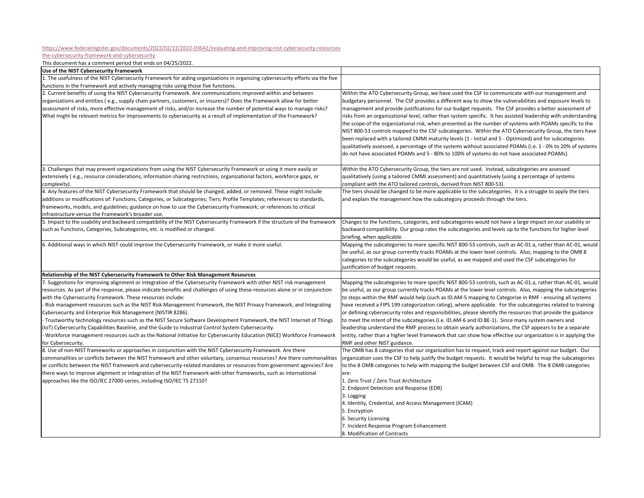[https://www.federalregister.gov/documents/2022/02/22/2022](https://www.federalregister.gov/documents/2022/02/22/2022-03642/evaluating-and-improving-nist-cybersecurity-resources)‐03642/evaluating‐and‐improving‐nist‐cybersecurity‐resources‐

the-cybersecurity-framework-and-cybersecurity

This document has <sup>a</sup> comment period that ends on 04/25/2022.

| Use of the NIST Cybersecurity Framework                                                                                         |                                                                                                                |
|---------------------------------------------------------------------------------------------------------------------------------|----------------------------------------------------------------------------------------------------------------|
| 1. The usefulness of the NIST Cybersecurity Framework for aiding organizations in organizing cybersecurity efforts via the five |                                                                                                                |
| functions in the Framework and actively managing risks using those five functions.                                              |                                                                                                                |
| 2. Current benefits of using the NIST Cybersecurity Framework. Are communications improved within and between                   | Within the ATO Cybersecurity Group, we have used the CSF to communicate with our management and                |
| organizations and entities (e.g., supply chain partners, customers, or insurers)? Does the Framework allow for better           | budgetary personnel. The CSF provides a different way to show the vulnerabilities and exposure levels to       |
| assessment of risks, more effective management of risks, and/or increase the number of potential ways to manage risks?          | management and provide justifications for our budget requests. The CSF provides a better assessment of         |
| What might be relevant metrics for improvements to cybersecurity as a result of implementation of the Framework?                | risks from an organizational level, rather than system specific. It has assisted leadership with understanding |
|                                                                                                                                 | the scope of the organizational risk, when presented as the number of systems with POAMs specific to the       |
|                                                                                                                                 | NIST 800-53 controls mapped to the CSF subcategories. Within the ATO Cybersecurity Group, the tiers have       |
|                                                                                                                                 | been replaced with a tailored CMMI maturity levels (1 - Initial and 5 - Optimized) and for subcategories       |
|                                                                                                                                 | qualitatively assessed, a percentage of the systems without associated POAMs (i.e. 1 - 0% to 20% of systems    |
|                                                                                                                                 | do not have associated POAMs and 5 - 80% to 100% of systems do not have associated POAMs).                     |
|                                                                                                                                 |                                                                                                                |
| 3. Challenges that may prevent organizations from using the NIST Cybersecurity Framework or using it more easily or             | Within the ATO Cybersecurity Group, the tiers are not used. Instead, subcategories are assessed                |
| extensively (e.g., resource considerations, information sharing restrictions, organizational factors, workforce gaps, or        | qualitatively (using a tailored CMMI assessment) and quantitatively (using a percentage of systems             |
| complexity).                                                                                                                    | compliant with the ATO tailored controls, derived from NIST 800-53).                                           |
| 4. Any features of the NIST Cybersecurity Framework that should be changed, added, or removed. These might include              | The tiers should be changed to be more applicable to the subcategories. It is a struggle to apply the tiers    |
| additions or modifications of: Functions, Categories, or Subcategories; Tiers; Profile Templates; references to standards,      | and explain the management how the subcategory proceeds through the tiers.                                     |
| frameworks, models, and guidelines; guidance on how to use the Cybersecurity Framework; or references to critical               |                                                                                                                |
| infrastructure versus the Framework's broader use.                                                                              |                                                                                                                |
| 5. Impact to the usability and backward compatibility of the NIST Cybersecurity Framework if the structure of the framework     | Changes to the functions, categories, and subcategories would not have a large impact on our usability or      |
| such as Functions, Categories, Subcategories, etc. is modified or changed.                                                      | backward compatibility. Our group rates the subcategories and levels up to the functions for higher level      |
|                                                                                                                                 | briefing, when applicable.                                                                                     |
| 6. Additional ways in which NIST could improve the Cybersecurity Framework, or make it more useful.                             | Mapping the subcategories to more specific NIST 800-53 controls, such as AC-01.a, rather than AC-01, would     |
|                                                                                                                                 | be useful, as our group currently tracks POAMs at the lower level controls. Also, mapping to the OMB 8         |
|                                                                                                                                 | categories to the subcategories would be useful, as we mapped and used the CSF subcategories for               |
|                                                                                                                                 | ustification of budget requests.                                                                               |
| Relationship of the NIST Cybersecurity Framework to Other Risk Management Resources                                             |                                                                                                                |
| 7. Suggestions for improving alignment or integration of the Cybersecurity Framework with other NIST risk management            | Mapping the subcategories to more specific NIST 800-53 controls, such as AC-01.a, rather than AC-01, would     |
| resources. As part of the response, please indicate benefits and challenges of using these resources alone or in conjunction    | be useful, as our group currently tracks POAMs at the lower level controls. Also, mapping the subcategories    |
| with the Cybersecurity Framework. These resources include:                                                                      | to steps within the RMF would help (such as ID.AM-5 mapping to Categorize in RMF - ensuring all systems        |
| Risk management resources such as the NIST Risk Management Framework, the NIST Privacy Framework, and Integrating               | ave received a FIPS 199 categorization rating), where applicable. For the subcategories related to training    |
| Cybersecurity and Enterprise Risk Management (NISTIR 8286).                                                                     | or defining cybersecurity roles and responsibilities, please identify the resources that provide the guidance  |
| Trustworthy technology resources such as the NIST Secure Software Development Framework, the NIST Internet of Things            | to meet the intent of the subcategories (i.e. ID.AM-6 and ID.BE-1). Since many system owners and               |
| loT) Cybersecurity Capabilities Baseline, and the Guide to Industrial Control System Cybersecurity.                             | eadership understand the RMF process to obtain yearly authorizations, the CSF appears to be a separate         |
| Workforce management resources such as the National Initiative for Cybersecurity Education (NICE) Workforce Framework           | entity, rather than a higher level framework that can show how effective our organization is in applying the   |
| for Cybersecurity.                                                                                                              | RMF and other NIST guidance.                                                                                   |
| 8. Use of non-NIST frameworks or approaches in conjunction with the NIST Cybersecurity Framework. Are there                     | The OMB has 8 categories that our organization has to request, track and report against our budget. Our        |
| commonalities or conflicts between the NIST framework and other voluntary, consensus resources? Are there commonalities         | organization uses the CSF to help justify the budget requests. It would be helpful to map the subcategories    |
| or conflicts between the NIST framework and cybersecurity-related mandates or resources from government agencies? Are           | to the 8 OMB categories to help with mapping the budget between CSF and OMB. The 8 OMB categories              |
| there ways to improve alignment or integration of the NIST framework with other frameworks, such as international               | are:                                                                                                           |
| approaches like the ISO/IEC 27000-series, including ISO/IEC TS 27110?                                                           | 1. Zero Trust / Zero Trust Architecture                                                                        |
|                                                                                                                                 | 2. Endpoint Detection and Response (EDR)                                                                       |
|                                                                                                                                 | 3. Logging                                                                                                     |
|                                                                                                                                 | 4. Identity, Credential, and Access Management (ICAM)                                                          |
|                                                                                                                                 | 5. Encryption                                                                                                  |
|                                                                                                                                 | 6. Security Licensing                                                                                          |
|                                                                                                                                 | 7. Incident Response Program Enhancement                                                                       |
|                                                                                                                                 | 8. Modification of Contracts                                                                                   |